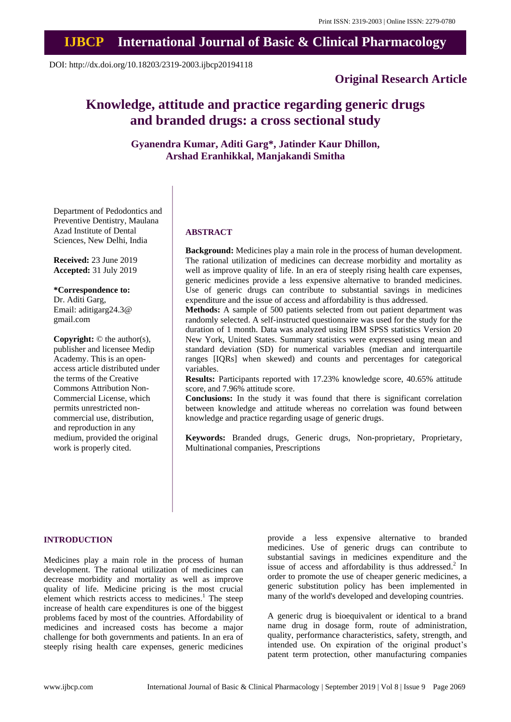## **IJBCP International Journal of Basic & Clinical Pharmacology**

DOI: http://dx.doi.org/10.18203/2319-2003.ijbcp20194118

## **Original Research Article**

# **Knowledge, attitude and practice regarding generic drugs and branded drugs: a cross sectional study**

**Gyanendra Kumar, Aditi Garg\*, Jatinder Kaur Dhillon, Arshad Eranhikkal, Manjakandi Smitha**

Department of Pedodontics and Preventive Dentistry, Maulana Azad Institute of Dental Sciences, New Delhi, India

**Received:** 23 June 2019 **Accepted:** 31 July 2019

**\*Correspondence to:** Dr. Aditi Garg, Email: aditigarg24.3@ gmail.com

**Copyright:** © the author(s), publisher and licensee Medip Academy. This is an openaccess article distributed under the terms of the Creative Commons Attribution Non-Commercial License, which permits unrestricted noncommercial use, distribution, and reproduction in any medium, provided the original work is properly cited.

## **ABSTRACT**

**Background:** Medicines play a main role in the process of human development. The rational utilization of medicines can decrease morbidity and mortality as well as improve quality of life. In an era of steeply rising health care expenses, generic medicines provide a less expensive alternative to branded medicines. Use of generic drugs can contribute to substantial savings in medicines expenditure and the issue of access and affordability is thus addressed.

**Methods:** A sample of 500 patients selected from out patient department was randomly selected. A self-instructed questionnaire was used for the study for the duration of 1 month. Data was analyzed using IBM SPSS statistics Version 20 New York, United States. Summary statistics were expressed using mean and standard deviation (SD) for numerical variables (median and interquartile ranges [IQRs] when skewed) and counts and percentages for categorical variables.

**Results:** Participants reported with 17.23% knowledge score, 40.65% attitude score, and 7.96% attitude score.

**Conclusions:** In the study it was found that there is significant correlation between knowledge and attitude whereas no correlation was found between knowledge and practice regarding usage of generic drugs.

**Keywords:** Branded drugs, Generic drugs, Non-proprietary, Proprietary, Multinational companies, Prescriptions

#### **INTRODUCTION**

Medicines play a main role in the process of human development. The rational utilization of medicines can decrease morbidity and mortality as well as improve quality of life. Medicine pricing is the most crucial element which restricts access to medicines.<sup>1</sup> The steep increase of health care expenditures is one of the biggest problems faced by most of the countries. Affordability of medicines and increased costs has become a major challenge for both governments and patients. In an era of steeply rising health care expenses, generic medicines provide a less expensive alternative to branded medicines. Use of generic drugs can contribute to substantial savings in medicines expenditure and the issue of access and affordability is thus addressed.<sup>2</sup> In order to promote the use of cheaper generic medicines, a generic substitution policy has been implemented in many of the world's developed and developing countries.

A generic drug is bioequivalent or identical to a brand name drug in dosage form, route of administration, quality, performance characteristics, safety, strength, and intended use. On expiration of the original product's patent term protection, other manufacturing companies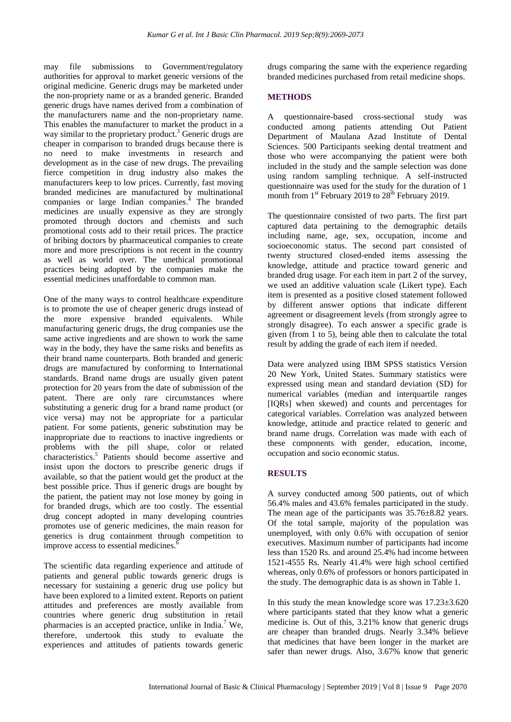may file submissions to Government/regulatory authorities for approval to market generic versions of the original medicine. Generic drugs may be marketed under the non-propriety name or as a branded generic. Branded generic drugs have names derived from a combination of the manufacturers name and the non-proprietary name. This enables the manufacturer to market the product in a way similar to the proprietary product.<sup>3</sup> Generic drugs are cheaper in comparison to branded drugs because there is no need to make investments in research and development as in the case of new drugs. The prevailing fierce competition in drug industry also makes the manufacturers keep to low prices. Currently, fast moving branded medicines are manufactured by multinational companies or large Indian companies. <sup>4</sup> The branded medicines are usually expensive as they are strongly promoted through doctors and chemists and such promotional costs add to their retail prices. The practice of bribing doctors by pharmaceutical companies to create more and more prescriptions is not recent in the country as well as world over. The unethical promotional practices being adopted by the companies make the essential medicines unaffordable to common man.

One of the many ways to control healthcare expenditure is to promote the use of cheaper generic drugs instead of the more expensive branded equivalents. While manufacturing generic drugs, the drug companies use the same active ingredients and are shown to work the same way in the body, they have the same risks and benefits as their brand name counterparts. Both branded and generic drugs are manufactured by conforming to International standards. Brand name drugs are usually given patent protection for 20 years from the date of submission of the patent. There are only rare circumstances where substituting a generic drug for a brand name product (or vice versa) may not be appropriate for a particular patient. For some patients, generic substitution may be inappropriate due to reactions to inactive ingredients or problems with the pill shape, color or related characteristics. 5 Patients should become assertive and insist upon the doctors to prescribe generic drugs if available, so that the patient would get the product at the best possible price. Thus if generic drugs are bought by the patient, the patient may not lose money by going in for branded drugs, which are too costly. The essential drug concept adopted in many developing countries promotes use of generic medicines, the main reason for generics is drug containment through competition to improve access to essential medicines. $\overline{6}$ 

The scientific data regarding experience and attitude of patients and general public towards generic drugs is necessary for sustaining a generic drug use policy but have been explored to a limited extent. Reports on patient attitudes and preferences are mostly available from countries where generic drug substitution in retail pharmacies is an accepted practice, unlike in India.<sup>7</sup> We, therefore, undertook this study to evaluate the experiences and attitudes of patients towards generic drugs comparing the same with the experience regarding branded medicines purchased from retail medicine shops.

## **METHODS**

A questionnaire-based cross-sectional study was conducted among patients attending Out Patient Department of Maulana Azad Institute of Dental Sciences. 500 Participants seeking dental treatment and those who were accompanying the patient were both included in the study and the sample selection was done using random sampling technique. A self-instructed questionnaire was used for the study for the duration of 1 month from  $1<sup>st</sup>$  February 2019 to  $28<sup>th</sup>$  February 2019.

The questionnaire consisted of two parts. The first part captured data pertaining to the demographic details including name, age, sex, occupation, income and socioeconomic status. The second part consisted of twenty structured closed-ended items assessing the knowledge, attitude and practice toward generic and branded drug usage. For each item in part 2 of the survey, we used an additive valuation scale (Likert type). Each item is presented as a positive closed statement followed by different answer options that indicate different agreement or disagreement levels (from strongly agree to strongly disagree). To each answer a specific grade is given (from 1 to 5), being able then to calculate the total result by adding the grade of each item if needed.

Data were analyzed using IBM SPSS statistics Version 20 New York, United States. Summary statistics were expressed using mean and standard deviation (SD) for numerical variables (median and interquartile ranges [IQRs] when skewed) and counts and percentages for categorical variables. Correlation was analyzed between knowledge, attitude and practice related to generic and brand name drugs. Correlation was made with each of these components with gender, education, income, occupation and socio economic status.

## **RESULTS**

A survey conducted among 500 patients, out of which 56.4% males and 43.6% females participated in the study. The mean age of the participants was  $35.76\pm8.82$  years. Of the total sample, majority of the population was unemployed, with only 0.6% with occupation of senior executives. Maximum number of participants had income less than 1520 Rs. and around 25.4% had income between 1521-4555 Rs. Nearly 41.4% were high school certified whereas, only 0.6% of professors or honors participated in the study. The demographic data is as shown in Table 1.

In this study the mean knowledge score was  $17.23 \pm 3.620$ where participants stated that they know what a generic medicine is. Out of this, 3.21% know that generic drugs are cheaper than branded drugs. Nearly 3.34% believe that medicines that have been longer in the market are safer than newer drugs. Also, 3.67% know that generic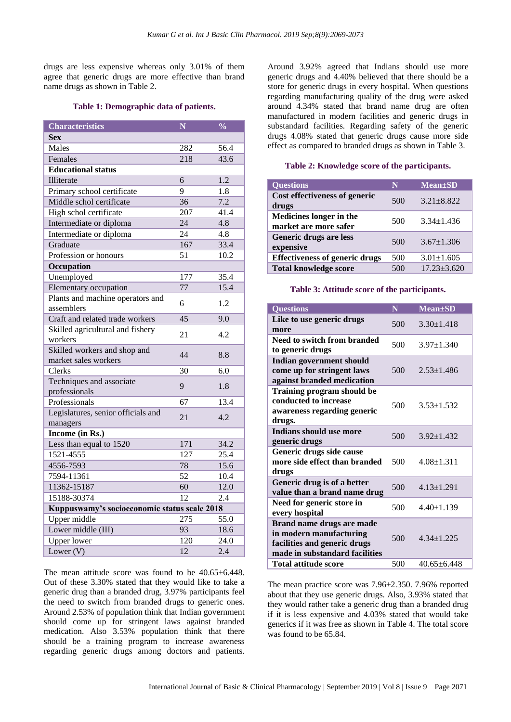drugs are less expensive whereas only 3.01% of them agree that generic drugs are more effective than brand name drugs as shown in Table 2.

#### **Table 1: Demographic data of patients.**

| <b>Characteristics</b>                                      | N               | $\overline{\frac{0}{6}}$ |  |  |
|-------------------------------------------------------------|-----------------|--------------------------|--|--|
| <b>Sex</b>                                                  |                 |                          |  |  |
| Males                                                       | 282             | 56.4                     |  |  |
| Females                                                     | 218             | 43.6                     |  |  |
| <b>Educational status</b>                                   |                 |                          |  |  |
| <b>Illiterate</b>                                           | 6               | 1.2                      |  |  |
| Primary school certificate                                  | 9               | 1.8                      |  |  |
| Middle schol certificate                                    | $\overline{36}$ | 7.2                      |  |  |
| High schol certificate                                      | 207             | 41.4                     |  |  |
| Intermediate or diploma                                     | 24              | 4.8                      |  |  |
| Intermediate or diploma                                     | 24              | 4.8                      |  |  |
| Graduate                                                    | 167             | 33.4                     |  |  |
| Profession or honours                                       | 51              | 10.2                     |  |  |
| Occupation                                                  |                 |                          |  |  |
| Unemployed                                                  | 177             | 35.4                     |  |  |
| Elementary occupation                                       | 77              | 15.4                     |  |  |
| Plants and machine operators and                            | 6               | 1.2                      |  |  |
| assemblers                                                  |                 |                          |  |  |
| Craft and related trade workers                             | 45              | 9.0                      |  |  |
| Skilled agricultural and fishery                            | 21              | 4.2                      |  |  |
| workers                                                     |                 |                          |  |  |
| Skilled workers and shop and                                | 44              | 8.8                      |  |  |
| market sales workers                                        |                 |                          |  |  |
| Clerks                                                      | 30              | 6.0                      |  |  |
| Techniques and associate                                    | 9               | 1.8                      |  |  |
| professionals                                               |                 |                          |  |  |
| Professionals                                               | 67              | 13.4                     |  |  |
| Legislatures, senior officials and                          | 21              | 4.2                      |  |  |
| managers<br>Income (in Rs.)                                 |                 |                          |  |  |
| Less than equal to 1520                                     | 171             | 34.2                     |  |  |
| 1521-4555                                                   | 127             | 25.4                     |  |  |
| 4556-7593                                                   | 78              | 15.6                     |  |  |
| 7594-11361                                                  | 52              | 10.4                     |  |  |
| 11362-15187                                                 | 60              | 12.0                     |  |  |
| 15188-30374                                                 | 12              | 2.4                      |  |  |
|                                                             |                 |                          |  |  |
| Kuppuswamy's socioeconomic status scale 2018<br>275<br>55.0 |                 |                          |  |  |
| Upper middle<br>Lower middle (III)                          | 93              | 18.6                     |  |  |
|                                                             | 120             | 24.0                     |  |  |
| <b>Upper lower</b>                                          | 12              | 2.4                      |  |  |
| Lower $(V)$                                                 |                 |                          |  |  |

The mean attitude score was found to be 40.65±6.448. Out of these 3.30% stated that they would like to take a generic drug than a branded drug, 3.97% participants feel the need to switch from branded drugs to generic ones. Around 2.53% of population think that Indian government should come up for stringent laws against branded medication. Also 3.53% population think that there should be a training program to increase awareness regarding generic drugs among doctors and patients.

Around 3.92% agreed that Indians should use more generic drugs and 4.40% believed that there should be a store for generic drugs in every hospital. When questions regarding manufacturing quality of the drug were asked around 4.34% stated that brand name drug are often manufactured in modern facilities and generic drugs in substandard facilities. Regarding safety of the generic drugs 4.08% stated that generic drugs cause more side effect as compared to branded drugs as shown in Table 3.

## **Table 2: Knowledge score of the participants.**

| <b>Questions</b>                                 | N   | <b>Mean</b> ±SD   |
|--------------------------------------------------|-----|-------------------|
| Cost effectiveness of generic<br>drugs           | 500 | $3.21 \pm 8.822$  |
| Medicines longer in the<br>market are more safer | 500 | $3.34 \pm 1.436$  |
| Generic drugs are less<br>expensive              | 500 | $3.67 \pm 1.306$  |
| <b>Effectiveness of generic drugs</b>            | 500 | $3.01 \pm 1.605$  |
| <b>Total knowledge score</b>                     | 500 | $17.23 \pm 3.620$ |

#### **Table 3: Attitude score of the participants.**

| <b>Questions</b>                                                                                                       | N   | <b>Mean</b> ±SD   |
|------------------------------------------------------------------------------------------------------------------------|-----|-------------------|
| Like to use generic drugs<br>more                                                                                      | 500 | $3.30 \pm 1.418$  |
| Need to switch from branded<br>to generic drugs                                                                        | 500 | $3.97 \pm 1.340$  |
| <b>Indian government should</b><br>come up for stringent laws<br>against branded medication                            | 500 | $2.53 \pm 1.486$  |
| <b>Training program should be</b><br>conducted to increase<br>awareness regarding generic<br>drugs.                    | 500 | $3.53 \pm 1.532$  |
| Indians should use more<br>generic drugs                                                                               | 500 | $3.92 \pm 1.432$  |
| Generic drugs side cause<br>more side effect than branded<br>drugs                                                     | 500 | $4.08 \pm 1.311$  |
| Generic drug is of a better<br>value than a brand name drug                                                            | 500 | $4.13 \pm 1.291$  |
| Need for generic store in<br>every hospital                                                                            | 500 | $4.40 \pm 1.139$  |
| Brand name drugs are made<br>in modern manufacturing<br>facilities and generic drugs<br>made in substandard facilities | 500 | $4.34 + 1.225$    |
| Total attitude score                                                                                                   | 500 | $40.65 \pm 6.448$ |

The mean practice score was 7.96±2.350. 7.96% reported about that they use generic drugs. Also, 3.93% stated that they would rather take a generic drug than a branded drug if it is less expensive and 4.03% stated that would take generics if it was free as shown in Table 4. The total score was found to be 65.84.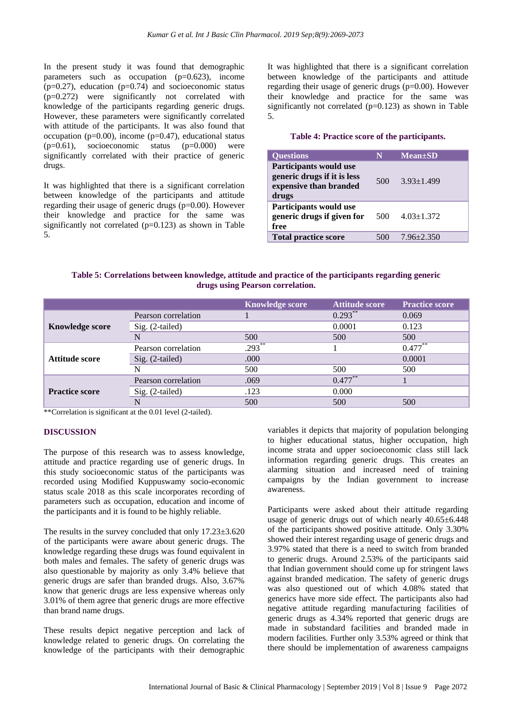In the present study it was found that demographic parameters such as occupation (p=0.623), income  $(p=0.27)$ , education  $(p=0.74)$  and socioeconomic status (p=0.272) were significantly not correlated with knowledge of the participants regarding generic drugs. However, these parameters were significantly correlated with attitude of the participants. It was also found that occupation ( $p=0.00$ ), income ( $p=0.47$ ), educational status  $(p=0.61)$ , socioeconomic status  $(p=0.000)$  were significantly correlated with their practice of generic drugs.

It was highlighted that there is a significant correlation between knowledge of the participants and attitude regarding their usage of generic drugs (p=0.00). However their knowledge and practice for the same was significantly not correlated  $(p=0.123)$  as shown in Table 5.

It was highlighted that there is a significant correlation between knowledge of the participants and attitude regarding their usage of generic drugs (p=0.00). However their knowledge and practice for the same was significantly not correlated (p=0.123) as shown in Table 5.

#### **Table 4: Practice score of the participants.**

| <b>Questions</b>                                                                                | N   | <b>Mean</b> ±SD  |
|-------------------------------------------------------------------------------------------------|-----|------------------|
| <b>Participants would use</b><br>generic drugs if it is less<br>expensive than branded<br>drugs | 500 | $3.93 \pm 1.499$ |
| Participants would use<br>generic drugs if given for<br>free                                    | 500 | $4.03 \pm 1.372$ |
| <b>Total practice score</b>                                                                     | 500 | $7.96 + 2.350$   |

### **Table 5: Correlations between knowledge, attitude and practice of the participants regarding generic drugs using Pearson correlation.**

|                        |                     | <b>Knowledge score</b> | <b>Attitude score</b> | <b>Practice score</b> |
|------------------------|---------------------|------------------------|-----------------------|-----------------------|
| <b>Knowledge score</b> | Pearson correlation |                        | $0.293***$            | 0.069                 |
|                        | Sig. (2-tailed)     |                        | 0.0001                | 0.123                 |
|                        | N                   | 500                    | 500                   | 500                   |
| Attitude score         | Pearson correlation | $.293**$               |                       | $0.477***$            |
|                        | Sig. (2-tailed)     | .000                   |                       | 0.0001                |
|                        |                     | 500                    | 500                   | 500                   |
| <b>Practice score</b>  | Pearson correlation | .069                   | $0.477***$            |                       |
|                        | Sig. (2-tailed)     | .123                   | 0.000                 |                       |
|                        | N                   | 500                    | 500                   | 500                   |

\*\*Correlation is significant at the 0.01 level (2-tailed).

#### **DISCUSSION**

The purpose of this research was to assess knowledge, attitude and practice regarding use of generic drugs. In this study socioeconomic status of the participants was recorded using Modified Kuppuswamy socio-economic status scale 2018 as this scale incorporates recording of parameters such as occupation, education and income of the participants and it is found to be highly reliable.

The results in the survey concluded that only 17.23±3.620 of the participants were aware about generic drugs. The knowledge regarding these drugs was found equivalent in both males and females. The safety of generic drugs was also questionable by majority as only 3.4% believe that generic drugs are safer than branded drugs. Also, 3.67% know that generic drugs are less expensive whereas only 3.01% of them agree that generic drugs are more effective than brand name drugs.

These results depict negative perception and lack of knowledge related to generic drugs. On correlating the knowledge of the participants with their demographic

variables it depicts that majority of population belonging to higher educational status, higher occupation, high income strata and upper socioeconomic class still lack information regarding generic drugs. This creates an alarming situation and increased need of training campaigns by the Indian government to increase awareness.

Participants were asked about their attitude regarding usage of generic drugs out of which nearly 40.65±6.448 of the participants showed positive attitude. Only 3.30% showed their interest regarding usage of generic drugs and 3.97% stated that there is a need to switch from branded to generic drugs. Around 2.53% of the participants said that Indian government should come up for stringent laws against branded medication. The safety of generic drugs was also questioned out of which 4.08% stated that generics have more side effect. The participants also had negative attitude regarding manufacturing facilities of generic drugs as 4.34% reported that generic drugs are made in substandard facilities and branded made in modern facilities. Further only 3.53% agreed or think that there should be implementation of awareness campaigns